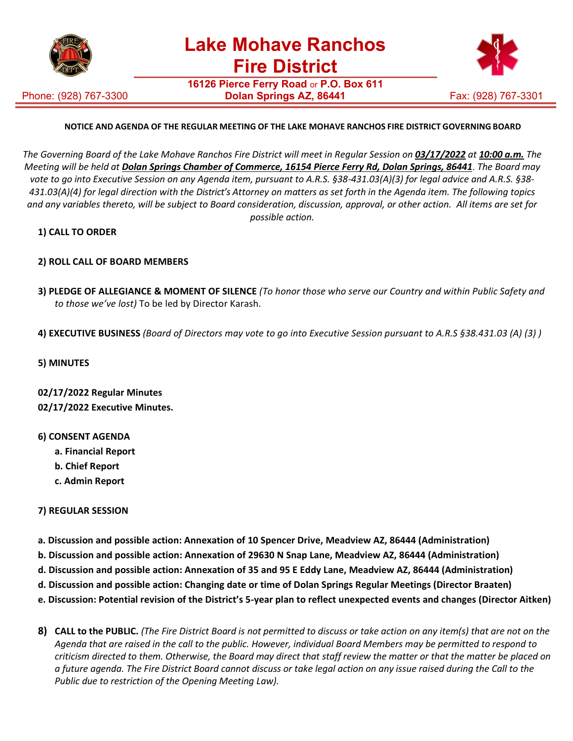

Phone: (928) 767-3300

**16126 Pierce Ferry Road** or **P.O. Box 611 Dolan Springs AZ, 86441** Fax: (928) 767-3301



# **NOTICE AND AGENDA OF THE REGULAR MEETING OF THE LAKE MOHAVE RANCHOS FIRE DISTRICT GOVERNING BOARD**

The Governing Board of the Lake Mohave Ranchos Fire District will meet in Regular Session on 03/17/2022 at 10:00 a.m. The *Meeting will be held at Dolan Springs Chamber of Commerce, 16154 Pierce Ferry Rd, Dolan Springs, 86441*. *The Board may vote to go into Executive Session on any Agenda item, pursuant to A.R.S. §38-431.03(A)(3) for legal advice and A.R.S. §38- 431.03(A)(4) for legal direction with the District's Attorney on matters as set forth in the Agenda item. The following topics and any variables thereto, will be subject to Board consideration, discussion, approval, or other action. All items are set for possible action.*

# **1) CALL TO ORDER**

# **2) ROLL CALL OF BOARD MEMBERS**

- **3) PLEDGE OF ALLEGIANCE & MOMENT OF SILENCE** *(To honor those who serve our Country and within Public Safety and to those we've lost)* To be led by Director Karash.
- **4) EXECUTIVE BUSINESS** *(Board of Directors may vote to go into Executive Session pursuant to A.R.S §38.431.03 (A) (3) )*
- **5) MINUTES**

**02/17/2022 Regular Minutes 02/17/2022 Executive Minutes.**

### **6) CONSENT AGENDA**

- **a. Financial Report**
- **b. Chief Report**
- **c. Admin Report**

### **7) REGULAR SESSION**

- **a. Discussion and possible action: Annexation of 10 Spencer Drive, Meadview AZ, 86444 (Administration)**
- **b. Discussion and possible action: Annexation of 29630 N Snap Lane, Meadview AZ, 86444 (Administration)**
- **d. Discussion and possible action: Annexation of 35 and 95 E Eddy Lane, Meadview AZ, 86444 (Administration)**
- **d. Discussion and possible action: Changing date or time of Dolan Springs Regular Meetings (Director Braaten)**
- **e. Discussion: Potential revision of the District's 5-year plan to reflect unexpected events and changes (Director Aitken)**
- 8) CALL to the PUBLIC. (The Fire District Board is not permitted to discuss or take action on any item(s) that are not on the *Agenda that are raised in the call to the public. However, individual Board Members may be permitted to respond to criticism directed to them. Otherwise, the Board may direct that staff review the matter or that the matter be placed on a future agenda. The Fire District Board cannot discuss or take legal action on any issue raised during the Call to the Public due to restriction of the Opening Meeting Law).*